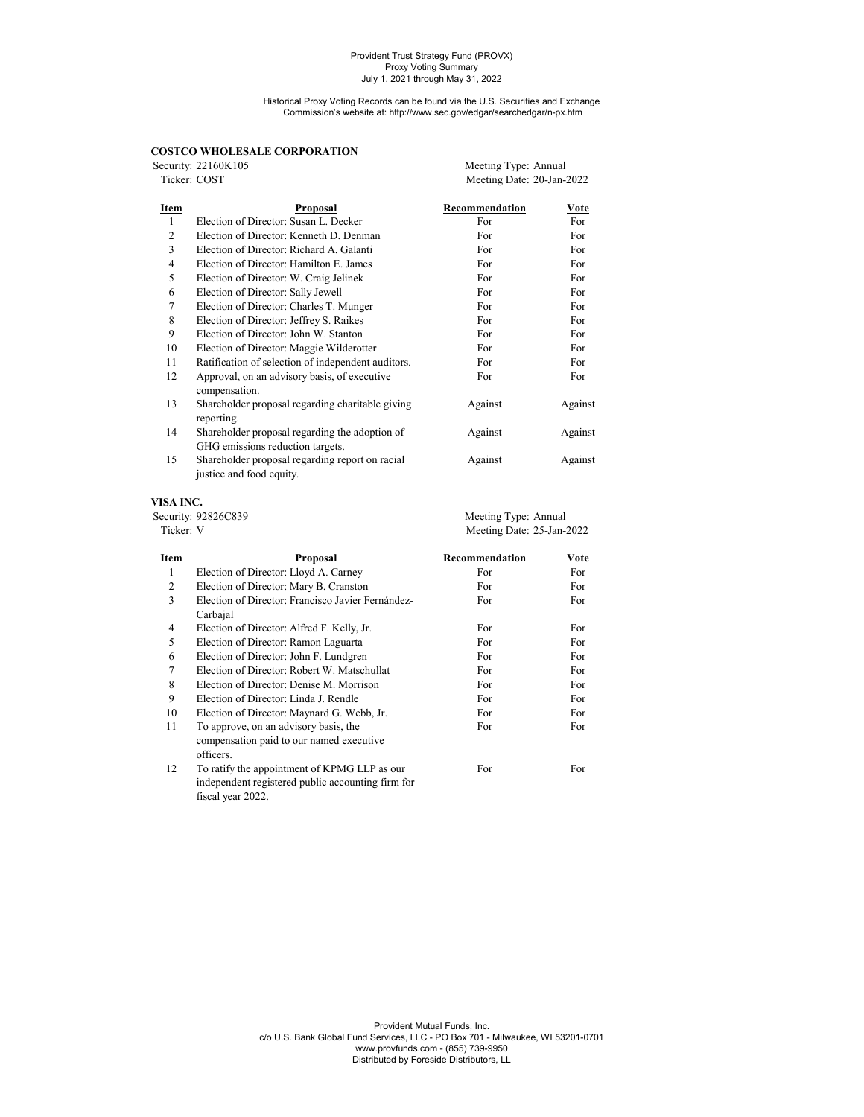Historical Proxy Voting Records can be found via the U.S. Securities and Exchange Commission's website at: http://www.sec.gov/edgar/searchedgar/n-px.htm

|  | <b>COSTCO WHOLESALE CORPORATION</b> |  |
|--|-------------------------------------|--|
|--|-------------------------------------|--|

|                | COSTCO WHOLESALE CORPORATION                                                       |                           |         |
|----------------|------------------------------------------------------------------------------------|---------------------------|---------|
|                | Security: 22160K105                                                                | Meeting Type: Annual      |         |
| Ticker: COST   |                                                                                    | Meeting Date: 20-Jan-2022 |         |
| Item           | Proposal                                                                           | Recommendation            | Vote    |
| $\mathbf{1}$   | Election of Director: Susan L. Decker                                              | For                       | For     |
| $\overline{c}$ | Election of Director: Kenneth D. Denman                                            | For                       | For     |
| 3              | Election of Director: Richard A. Galanti                                           | For                       | For     |
| $\overline{4}$ | Election of Director: Hamilton E. James                                            | For                       | For     |
| 5              | Election of Director: W. Craig Jelinek                                             | For                       | For     |
| 6              | Election of Director: Sally Jewell                                                 | For                       | For     |
| 7              | Election of Director: Charles T. Munger                                            | For                       | For     |
| 8              | Election of Director: Jeffrey S. Raikes                                            | For                       | For     |
| 9              | Election of Director: John W. Stanton                                              | For                       | For     |
| 10             | Election of Director: Maggie Wilderotter                                           | For                       | For     |
| 11             | Ratification of selection of independent auditors.                                 | For                       | For     |
| 12             | Approval, on an advisory basis, of executive<br>compensation.                      | For                       | For     |
| 13             | Shareholder proposal regarding charitable giving<br>reporting.                     | Against                   | Against |
| 14             | Shareholder proposal regarding the adoption of<br>GHG emissions reduction targets. | Against                   | Against |
| 15             | Shareholder proposal regarding report on racial<br>justice and food equity.        | Against                   | Against |

## **VISA INC.**

| <b>Item</b>         | Pronosal | Recommendation            | Vote |
|---------------------|----------|---------------------------|------|
| Ticker: V           |          | Meeting Date: 25-Jan-2022 |      |
| Security: 92826C839 |          | Meeting Type: Annual      |      |
| .                   |          |                           |      |

| пеш | <b>FI</b> UPOSAI                                                                                  | лесопппениации | <u>v ote</u> |
|-----|---------------------------------------------------------------------------------------------------|----------------|--------------|
| 1   | Election of Director: Lloyd A. Carney                                                             | For            | For          |
| 2   | Election of Director: Mary B. Cranston                                                            | For            | For          |
| 3   | Election of Director: Francisco Javier Fernández-                                                 | For            | For          |
|     | Carbajal                                                                                          |                |              |
| 4   | Election of Director: Alfred F. Kelly, Jr.                                                        | For            | For          |
| 5   | Election of Director: Ramon Laguarta                                                              | For            | For          |
| 6   | Election of Director: John F. Lundgren                                                            | For            | For          |
| 7   | Election of Director: Robert W. Matschullat                                                       | For            | For          |
| 8   | Election of Director: Denise M. Morrison                                                          | For            | For          |
| 9   | Election of Director: Linda J. Rendle                                                             | For            | For          |
| 10  | Election of Director: Maynard G. Webb, Jr.                                                        | For            | For          |
| 11  | To approve, on an advisory basis, the                                                             | For            | For          |
|     | compensation paid to our named executive<br>officers.                                             |                |              |
| 12  | To ratify the appointment of KPMG LLP as our<br>independent registered public accounting firm for | For            | For          |
|     | fiscal year 2022.                                                                                 |                |              |
|     |                                                                                                   |                |              |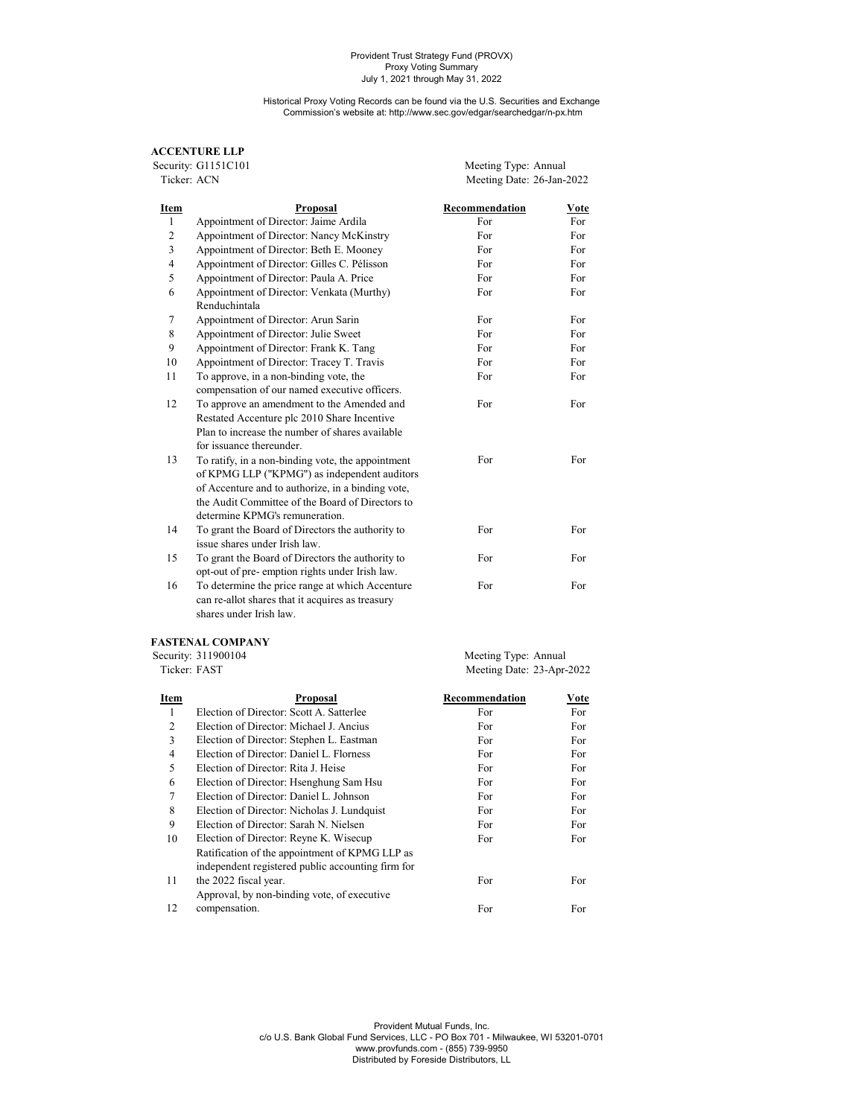Historical Proxy Voting Records can be found via the U.S. Securities and Exchange Commission's website at: http://www.sec.gov/edgar/searchedgar/n-px.htm

# **ACCENTURE LLP**

Security: G1151C101 Meeting Type: Annual<br>Ticker: ACN Meeting Date: 26-Jan-2 Meeting Date: 26-Jan-2022

| Item           | Proposal                                                   | Recommendation | Vote |
|----------------|------------------------------------------------------------|----------------|------|
| 1              | Appointment of Director: Jaime Ardila                      | For            | For. |
| $\overline{c}$ | Appointment of Director: Nancy McKinstry                   | For            | For  |
| 3              | Appointment of Director: Beth E. Mooney                    | For            | For  |
| $\overline{4}$ | Appointment of Director: Gilles C. Pélisson                | For            | For  |
| 5              | Appointment of Director: Paula A. Price                    | For            | For  |
| 6              | Appointment of Director: Venkata (Murthy)<br>Renduchintala | For            | For  |
| 7              | Appointment of Director: Arun Sarin                        | For            | For  |
| 8              | Appointment of Director: Julie Sweet                       | For            | For  |
| 9              | Appointment of Director: Frank K. Tang                     | For            | For  |
| 10             | Appointment of Director: Tracey T. Travis                  | For            | For  |
| 11             | To approve, in a non-binding vote, the                     | For            | For  |
|                | compensation of our named executive officers.              |                |      |
| 12             | To approve an amendment to the Amended and                 | For            | For  |
|                | Restated Accenture plc 2010 Share Incentive                |                |      |
|                | Plan to increase the number of shares available            |                |      |
|                | for issuance thereunder.                                   |                |      |
| 13             | To ratify, in a non-binding vote, the appointment          | For            | For  |
|                | of KPMG LLP ("KPMG") as independent auditors               |                |      |
|                | of Accenture and to authorize, in a binding vote,          |                |      |
|                | the Audit Committee of the Board of Directors to           |                |      |
|                | determine KPMG's remuneration.                             |                |      |
| 14             | To grant the Board of Directors the authority to           | For            | For  |
|                | issue shares under Irish law.                              |                |      |
| 15             | To grant the Board of Directors the authority to           | For            | For  |
|                | opt-out of pre- emption rights under Irish law.            |                |      |
| 16             | To determine the price range at which Accenture            | For            | For  |

can re-allot shares that it acquires as treasury shares under Irish law.

## **FASTENAL COMPANY**

Security: 311900104 Meeting Type: Annual Ticker: FAST Meeting Type: Annual Meeting Date: 23-Apr-Meeting Date: 23-Apr-2022

| Item           | <b>Proposal</b>                                                                                     | Recommendation | Vote |
|----------------|-----------------------------------------------------------------------------------------------------|----------------|------|
| 1              | Election of Director: Scott A. Satterlee                                                            | For            | For  |
| 2              | Election of Director: Michael J. Ancius                                                             | For            | For  |
| 3              | Election of Director: Stephen L. Eastman                                                            | For            | For  |
| $\overline{4}$ | Election of Director: Daniel L. Florness                                                            | For            | For  |
| 5              | Election of Director: Rita J. Heise                                                                 | For            | For  |
| 6              | Election of Director: Hsenghung Sam Hsu                                                             | For            | For  |
| 7              | Election of Director: Daniel L. Johnson                                                             | For            | For  |
| 8              | Election of Director: Nicholas J. Lundquist                                                         | For            | For  |
| 9              | Election of Director: Sarah N. Nielsen                                                              | For            | For  |
| 10             | Election of Director: Reyne K. Wisecup                                                              | For            | For  |
|                | Ratification of the appointment of KPMG LLP as<br>independent registered public accounting firm for |                |      |
| 11             | the 2022 fiscal year.<br>Approval, by non-binding vote, of executive                                | For            | For  |
| 12             | compensation.                                                                                       | For            | For  |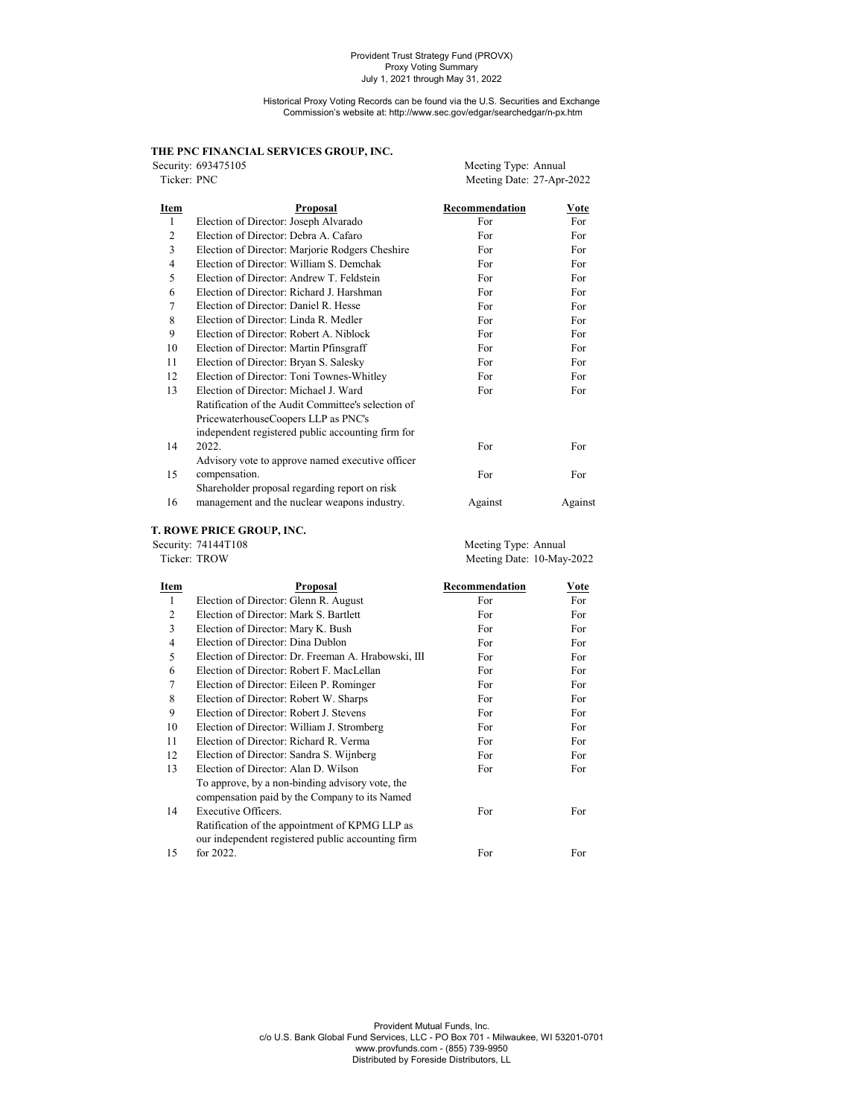Historical Proxy Voting Records can be found via the U.S. Securities and Exchange Commission's website at: http://www.sec.gov/edgar/searchedgar/n-px.htm

# **THE PNC FINANCIAL SERVICES GROUP, INC.**

|                | Security: 693475105                                | Meeting Type: Annual      |         |
|----------------|----------------------------------------------------|---------------------------|---------|
| Ticker: PNC    |                                                    | Meeting Date: 27-Apr-2022 |         |
| Item           | <b>Proposal</b>                                    | Recommendation            | Vote    |
| $\mathbf{1}$   | Election of Director: Joseph Alvarado              | For                       | For     |
| $\overline{2}$ | Election of Director: Debra A. Cafaro              | For                       | For     |
| 3              | Election of Director: Marjorie Rodgers Cheshire    | For                       | For     |
| 4              | Election of Director: William S. Demchak           | For                       | For     |
| 5              | Election of Director: Andrew T. Feldstein          | For                       | For     |
| 6              | Election of Director: Richard J. Harshman          | For                       | For     |
| 7              | Election of Director: Daniel R. Hesse              | For                       | For     |
| 8              | Election of Director: Linda R. Medler              | For                       | For     |
| 9              | Election of Director: Robert A. Niblock            | For                       | For     |
| 10             | Election of Director: Martin Pfinsgraff            | For                       | For     |
| 11             | Election of Director: Bryan S. Salesky             | For                       | For     |
| 12             | Election of Director: Toni Townes-Whitley          | For                       | For     |
| 13             | Election of Director: Michael J. Ward              | For                       | For     |
|                | Ratification of the Audit Committee's selection of |                           |         |
|                | PricewaterhouseCoopers LLP as PNC's                |                           |         |
|                | independent registered public accounting firm for  |                           |         |
| 14             | 2022.                                              | For                       | For     |
|                | Advisory vote to approve named executive officer   |                           |         |
| 15             | compensation.                                      | For                       | For     |
|                | Shareholder proposal regarding report on risk      |                           |         |
| 16             | management and the nuclear weapons industry.       | Against                   | Against |

**T. ROWE PRICE GROUP, INC.** Security: 74144T108 Meeting Type: Annual Ticker: TROW Meeting Date: 10-May Meeting Date: 10-May-2022

| Item | Proposal                                                                                         | Recommendation | Vote |
|------|--------------------------------------------------------------------------------------------------|----------------|------|
| 1    | Election of Director: Glenn R. August                                                            | For            | For  |
| 2    | Election of Director: Mark S. Bartlett                                                           | For            | For  |
| 3    | Election of Director: Mary K. Bush                                                               | For            | For  |
| 4    | Election of Director: Dina Dublon                                                                | For            | For  |
| 5    | Election of Director: Dr. Freeman A. Hrabowski, III                                              | For            | For  |
| 6    | Election of Director: Robert F. MacLellan                                                        | For            | For  |
| 7    | Election of Director: Eileen P. Rominger                                                         | For            | For  |
| 8    | Election of Director: Robert W. Sharps                                                           | For            | For  |
| 9    | Election of Director: Robert J. Stevens                                                          | For            | For  |
| 10   | Election of Director: William J. Stromberg                                                       | For            | For  |
| 11   | Election of Director: Richard R. Verma                                                           | For            | For  |
| 12   | Election of Director: Sandra S. Wijnberg                                                         | For            | For  |
| 13   | Election of Director: Alan D. Wilson                                                             | For            | For  |
|      | To approve, by a non-binding advisory vote, the<br>compensation paid by the Company to its Named |                |      |
| 14   | Executive Officers.                                                                              | For            | For  |
|      | Ratification of the appointment of KPMG LLP as                                                   |                |      |
|      | our independent registered public accounting firm                                                |                |      |
| 15   | for 2022.                                                                                        | For            | For  |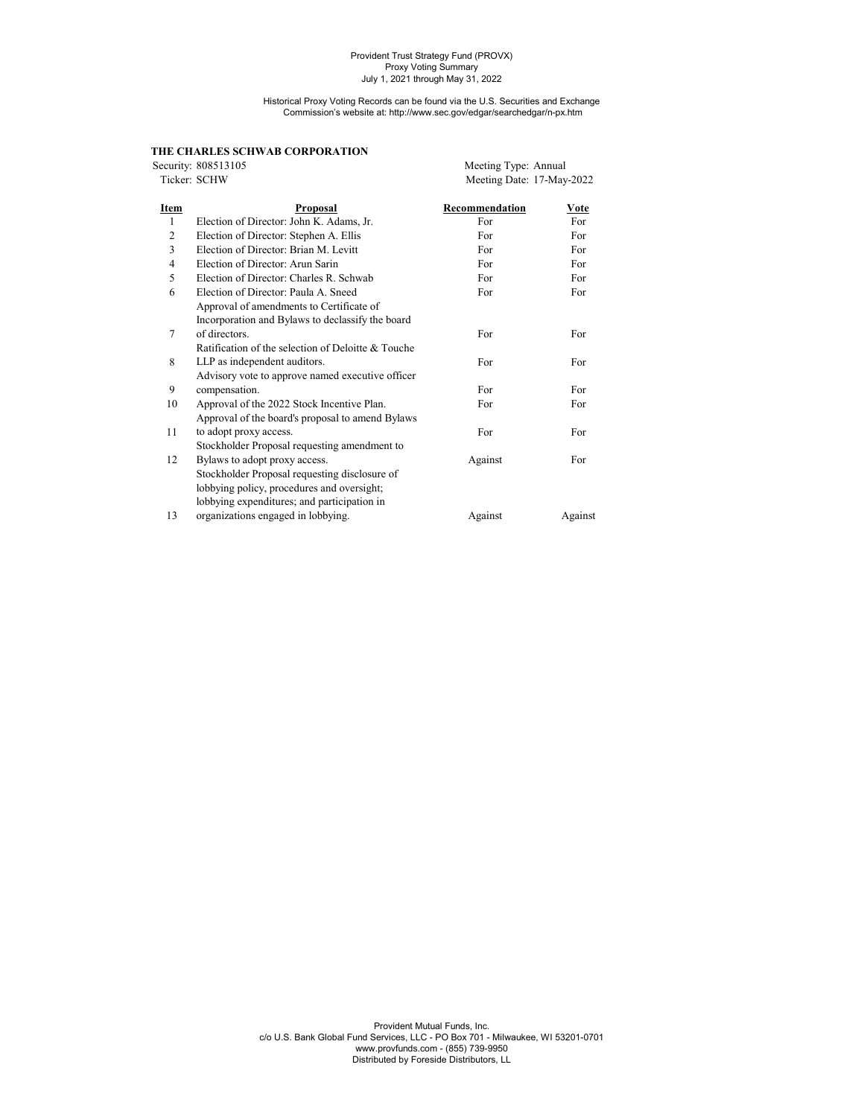Historical Proxy Voting Records can be found via the U.S. Securities and Exchange Commission's website at: http://www.sec.gov/edgar/searchedgar/n-px.htm

|                | THE CHARLES SCHWAB CORPORATION                     |                           |         |
|----------------|----------------------------------------------------|---------------------------|---------|
|                | Security: 808513105                                | Meeting Type: Annual      |         |
| Ticker: SCHW   |                                                    | Meeting Date: 17-May-2022 |         |
| Item           | <b>Proposal</b>                                    | Recommendation            | Vote    |
| 1              | Election of Director: John K. Adams, Jr.           | For                       | For     |
| $\overline{2}$ | Election of Director: Stephen A. Ellis             | For                       | For     |
| 3              | Election of Director: Brian M. Levitt              | For                       | For     |
| $\overline{4}$ | Election of Director: Arun Sarin                   | For                       | For     |
| 5              | Election of Director: Charles R. Schwab            | For                       | For     |
| 6              | Election of Director: Paula A. Sneed               | For                       | For     |
|                | Approval of amendments to Certificate of           |                           |         |
|                | Incorporation and Bylaws to declassify the board   |                           |         |
| 7              | of directors.                                      | For                       | For     |
|                | Ratification of the selection of Deloitte & Touche |                           |         |
| 8              | LLP as independent auditors.                       | For                       | For     |
|                | Advisory vote to approve named executive officer   |                           |         |
| 9              | compensation.                                      | For                       | For     |
| 10             | Approval of the 2022 Stock Incentive Plan.         | For                       | For     |
|                | Approval of the board's proposal to amend Bylaws   |                           |         |
| 11             | to adopt proxy access.                             | For                       | For     |
|                | Stockholder Proposal requesting amendment to       |                           |         |
| 12             | Bylaws to adopt proxy access.                      | Against                   | For     |
|                | Stockholder Proposal requesting disclosure of      |                           |         |
|                | lobbying policy, procedures and oversight;         |                           |         |
|                | lobbying expenditures; and participation in        |                           |         |
| 13             | organizations engaged in lobbying.                 | Against                   | Against |
|                |                                                    |                           |         |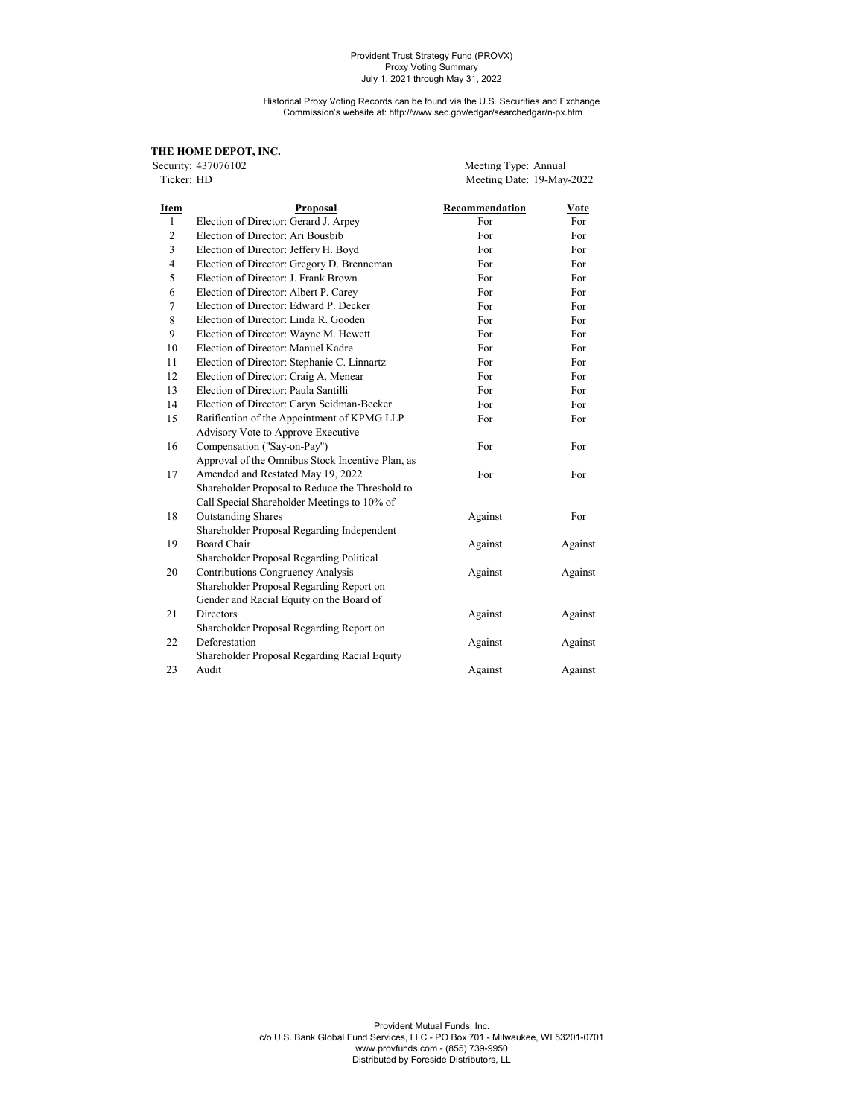#### Historical Proxy Voting Records can be found via the U.S. Securities and Exchange Commission's website at: http://www.sec.gov/edgar/searchedgar/n-px.htm

# THE HOME DEPOT, INC.<br>Security: 437076102

Security: 437076102 Meeting Type: Annual<br>Ticker: HD Meeting Date: 19-May Meeting Date: 19-May-2022

| Item           | Proposal                                         | Recommendation | Vote    |
|----------------|--------------------------------------------------|----------------|---------|
| $\mathbf{1}$   | Election of Director: Gerard J. Arpey            | For            | For     |
| $\overline{c}$ | Election of Director: Ari Bousbib                | For            | For     |
| 3              | Election of Director: Jeffery H. Boyd            | For            | For     |
| $\overline{4}$ | Election of Director: Gregory D. Brenneman       | For            | For     |
| 5              | Election of Director: J. Frank Brown             | For            | For     |
| 6              | Election of Director: Albert P. Carey            | For            | For     |
| 7              | Election of Director: Edward P. Decker           | For            | For     |
| 8              | Election of Director: Linda R. Gooden            | For            | For     |
| 9              | Election of Director: Wayne M. Hewett            | For            | For     |
| 10             | Election of Director: Manuel Kadre               | For            | For     |
| 11             | Election of Director: Stephanie C. Linnartz      | For            | For     |
| 12             | Election of Director: Craig A. Menear            | For            | For     |
| 13             | Election of Director: Paula Santilli             | For            | For     |
| 14             | Election of Director: Caryn Seidman-Becker       | For            | For     |
| 15             | Ratification of the Appointment of KPMG LLP      | For            | For     |
|                | Advisory Vote to Approve Executive               |                |         |
| 16             | Compensation ("Say-on-Pay")                      | For            | For     |
|                | Approval of the Omnibus Stock Incentive Plan, as |                |         |
| 17             | Amended and Restated May 19, 2022                | For            | For     |
|                | Shareholder Proposal to Reduce the Threshold to  |                |         |
|                | Call Special Shareholder Meetings to 10% of      |                |         |
| 18             | <b>Outstanding Shares</b>                        | Against        | For     |
|                | Shareholder Proposal Regarding Independent       |                |         |
| 19             | Board Chair                                      | Against        | Against |
|                | Shareholder Proposal Regarding Political         |                |         |
| 20             | <b>Contributions Congruency Analysis</b>         | Against        | Against |
|                | Shareholder Proposal Regarding Report on         |                |         |
|                | Gender and Racial Equity on the Board of         |                |         |
| 21             | <b>Directors</b>                                 | Against        | Against |
|                | Shareholder Proposal Regarding Report on         |                |         |
| 22             | Deforestation                                    | Against        | Against |
|                | Shareholder Proposal Regarding Racial Equity     |                |         |
| 23             | Audit                                            | Against        | Against |